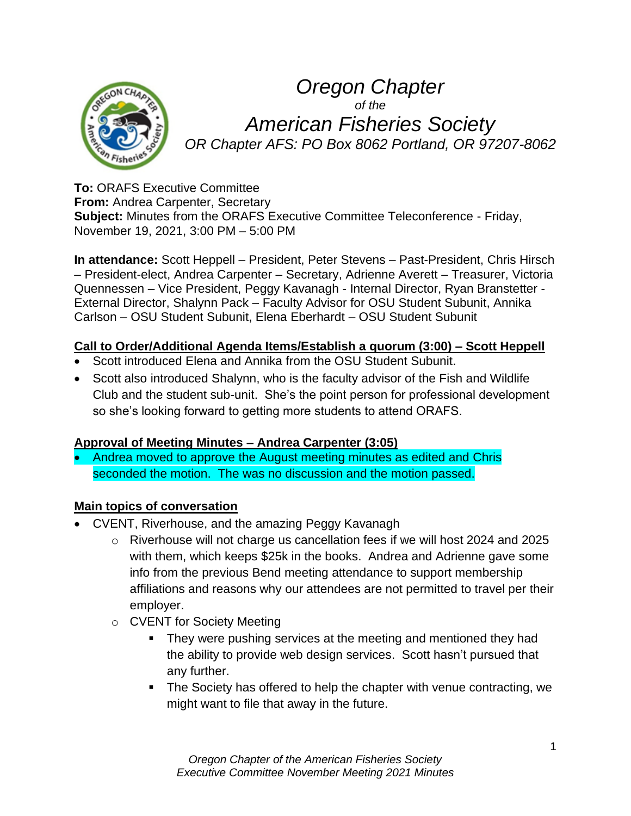

*Oregon Chapter of the American Fisheries Society OR Chapter AFS: PO Box 8062 Portland, OR 97207-8062*

**To:** ORAFS Executive Committee **From:** Andrea Carpenter, Secretary **Subject:** Minutes from the ORAFS Executive Committee Teleconference - Friday, November 19, 2021, 3:00 PM – 5:00 PM

**In attendance:** Scott Heppell – President, Peter Stevens – Past-President, Chris Hirsch – President-elect, Andrea Carpenter – Secretary, Adrienne Averett – Treasurer, Victoria Quennessen – Vice President, Peggy Kavanagh - Internal Director, Ryan Branstetter - External Director, Shalynn Pack – Faculty Advisor for OSU Student Subunit, Annika Carlson – OSU Student Subunit, Elena Eberhardt – OSU Student Subunit

### **Call to Order/Additional Agenda Items/Establish a quorum (3:00) – Scott Heppell**

- Scott introduced Elena and Annika from the OSU Student Subunit.
- Scott also introduced Shalynn, who is the faculty advisor of the Fish and Wildlife Club and the student sub-unit. She's the point person for professional development so she's looking forward to getting more students to attend ORAFS.

## **Approval of Meeting Minutes – Andrea Carpenter (3:05)**

• Andrea moved to approve the August meeting minutes as edited and Chris seconded the motion. The was no discussion and the motion passed.

## **Main topics of conversation**

- CVENT, Riverhouse, and the amazing Peggy Kavanagh
	- o Riverhouse will not charge us cancellation fees if we will host 2024 and 2025 with them, which keeps \$25k in the books. Andrea and Adrienne gave some info from the previous Bend meeting attendance to support membership affiliations and reasons why our attendees are not permitted to travel per their employer.
	- o CVENT for Society Meeting
		- **•** They were pushing services at the meeting and mentioned they had the ability to provide web design services. Scott hasn't pursued that any further.
		- The Society has offered to help the chapter with venue contracting, we might want to file that away in the future.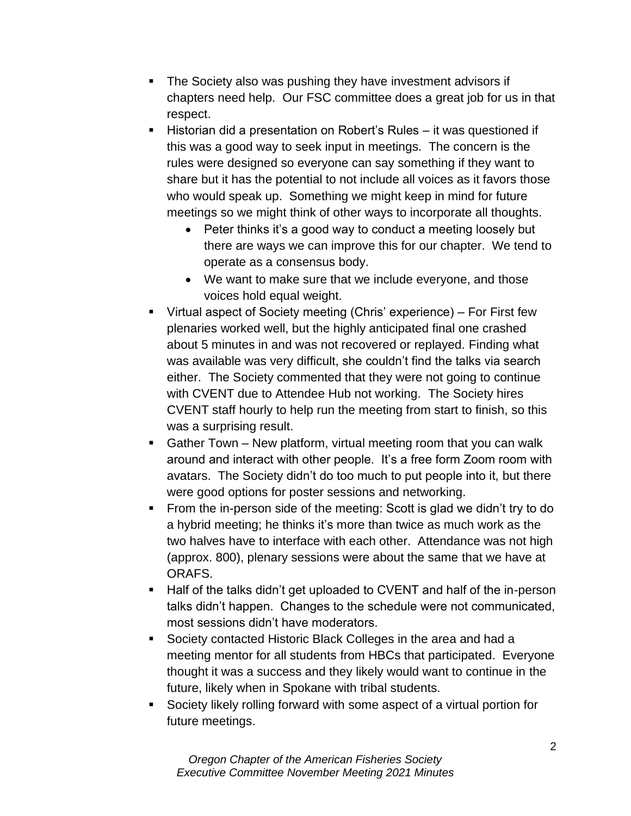- The Society also was pushing they have investment advisors if chapters need help. Our FSC committee does a great job for us in that respect.
- Historian did a presentation on Robert's Rules it was questioned if this was a good way to seek input in meetings. The concern is the rules were designed so everyone can say something if they want to share but it has the potential to not include all voices as it favors those who would speak up. Something we might keep in mind for future meetings so we might think of other ways to incorporate all thoughts.
	- Peter thinks it's a good way to conduct a meeting loosely but there are ways we can improve this for our chapter. We tend to operate as a consensus body.
	- We want to make sure that we include everyone, and those voices hold equal weight.
- Virtual aspect of Society meeting (Chris' experience) For First few plenaries worked well, but the highly anticipated final one crashed about 5 minutes in and was not recovered or replayed. Finding what was available was very difficult, she couldn't find the talks via search either. The Society commented that they were not going to continue with CVENT due to Attendee Hub not working. The Society hires CVENT staff hourly to help run the meeting from start to finish, so this was a surprising result.
- Gather Town New platform, virtual meeting room that you can walk around and interact with other people. It's a free form Zoom room with avatars. The Society didn't do too much to put people into it, but there were good options for poster sessions and networking.
- From the in-person side of the meeting: Scott is glad we didn't try to do a hybrid meeting; he thinks it's more than twice as much work as the two halves have to interface with each other. Attendance was not high (approx. 800), plenary sessions were about the same that we have at ORAFS.
- Half of the talks didn't get uploaded to CVENT and half of the in-person talks didn't happen. Changes to the schedule were not communicated, most sessions didn't have moderators.
- Society contacted Historic Black Colleges in the area and had a meeting mentor for all students from HBCs that participated. Everyone thought it was a success and they likely would want to continue in the future, likely when in Spokane with tribal students.
- Society likely rolling forward with some aspect of a virtual portion for future meetings.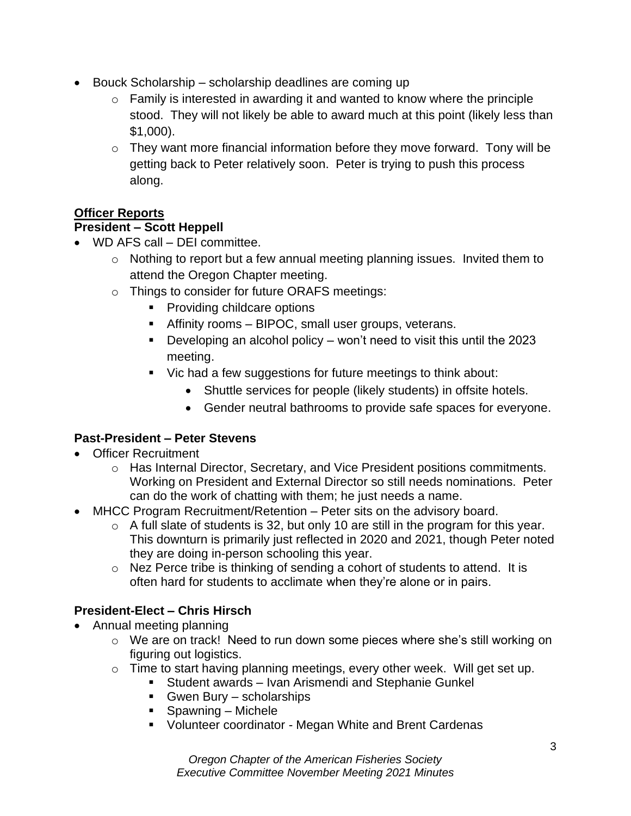- Bouck Scholarship scholarship deadlines are coming up
	- $\circ$  Family is interested in awarding it and wanted to know where the principle stood. They will not likely be able to award much at this point (likely less than \$1,000).
	- $\circ$  They want more financial information before they move forward. Tony will be getting back to Peter relatively soon. Peter is trying to push this process along.

# **Officer Reports**

## **President – Scott Heppell**

- WD AFS call DFI committee.
	- o Nothing to report but a few annual meeting planning issues. Invited them to attend the Oregon Chapter meeting.
	- o Things to consider for future ORAFS meetings:
		- Providing childcare options
		- **EXECUTE:** Affinity rooms BIPOC, small user groups, veterans.
		- **•** Developing an alcohol policy won't need to visit this until the 2023 meeting.
		- Vic had a few suggestions for future meetings to think about:
			- Shuttle services for people (likely students) in offsite hotels.
			- Gender neutral bathrooms to provide safe spaces for everyone.

# **Past-President – Peter Stevens**

- Officer Recruitment
	- o Has Internal Director, Secretary, and Vice President positions commitments. Working on President and External Director so still needs nominations. Peter can do the work of chatting with them; he just needs a name.
- MHCC Program Recruitment/Retention Peter sits on the advisory board.
	- $\circ$  A full slate of students is 32, but only 10 are still in the program for this year. This downturn is primarily just reflected in 2020 and 2021, though Peter noted they are doing in-person schooling this year.
	- o Nez Perce tribe is thinking of sending a cohort of students to attend. It is often hard for students to acclimate when they're alone or in pairs.

# **President-Elect – Chris Hirsch**

- Annual meeting planning
	- o We are on track! Need to run down some pieces where she's still working on figuring out logistics.
	- o Time to start having planning meetings, every other week. Will get set up.
		- Student awards Ivan Arismendi and Stephanie Gunkel
		- Gwen Bury scholarships
		- Spawning Michele
		- Volunteer coordinator Megan White and Brent Cardenas

*Oregon Chapter of the American Fisheries Society Executive Committee November Meeting 2021 Minutes*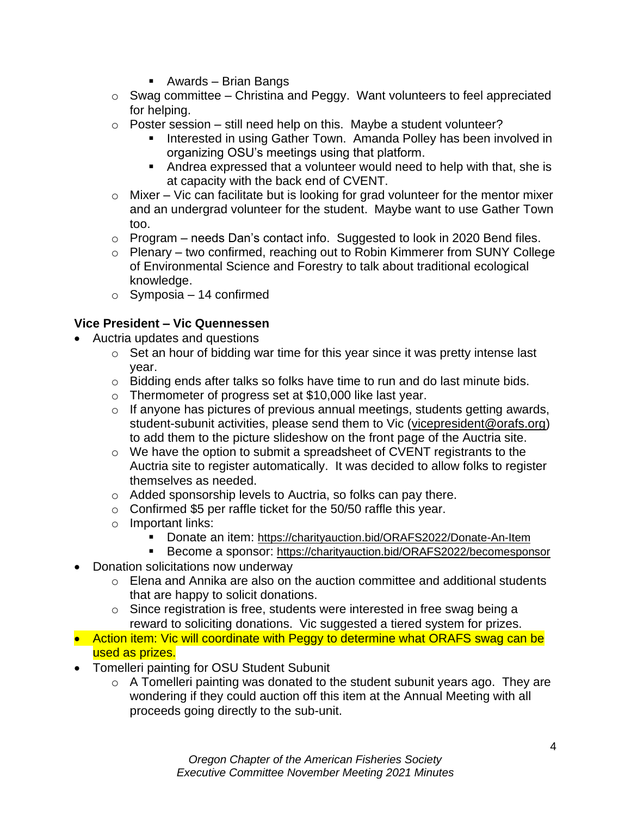- Awards Brian Bangs
- $\circ$  Swag committee Christina and Peggy. Want volunteers to feel appreciated for helping.
- $\circ$  Poster session still need help on this. Maybe a student volunteer?
	- **EXEDENT INTERSTARK Interpreted in using Gather Town. Amanda Polley has been involved in** organizing OSU's meetings using that platform.
	- Andrea expressed that a volunteer would need to help with that, she is at capacity with the back end of CVENT.
- $\circ$  Mixer Vic can facilitate but is looking for grad volunteer for the mentor mixer and an undergrad volunteer for the student. Maybe want to use Gather Town too.
- $\circ$  Program needs Dan's contact info. Suggested to look in 2020 Bend files.
- o Plenary two confirmed, reaching out to Robin Kimmerer from SUNY College of Environmental Science and Forestry to talk about traditional ecological knowledge.
- $\circ$  Symposia 14 confirmed

## **Vice President – Vic Quennessen**

- Auctria updates and questions
	- o Set an hour of bidding war time for this year since it was pretty intense last year.
	- $\circ$  Bidding ends after talks so folks have time to run and do last minute bids.
	- o Thermometer of progress set at \$10,000 like last year.
	- $\circ$  If anyone has pictures of previous annual meetings, students getting awards, student-subunit activities, please send them to Vic [\(vicepresident@orafs.org\)](mailto:vicepresident@orafs.org) to add them to the picture slideshow on the front page of the Auctria site.
	- o We have the option to submit a spreadsheet of CVENT registrants to the Auctria site to register automatically. It was decided to allow folks to register themselves as needed.
	- o Added sponsorship levels to Auctria, so folks can pay there.
	- $\circ$  Confirmed \$5 per raffle ticket for the 50/50 raffle this year.
	- o Important links:
		- Donate an item: <https://charityauction.bid/ORAFS2022/Donate-An-Item>
		- Become a sponsor: <https://charityauction.bid/ORAFS2022/becomesponsor>
- Donation solicitations now underway
	- o Elena and Annika are also on the auction committee and additional students that are happy to solicit donations.
	- o Since registration is free, students were interested in free swag being a reward to soliciting donations. Vic suggested a tiered system for prizes.
- Action item: Vic will coordinate with Peggy to determine what ORAFS swag can be used as prizes.
- Tomelleri painting for OSU Student Subunit
	- $\circ$  A Tomelleri painting was donated to the student subunit years ago. They are wondering if they could auction off this item at the Annual Meeting with all proceeds going directly to the sub-unit.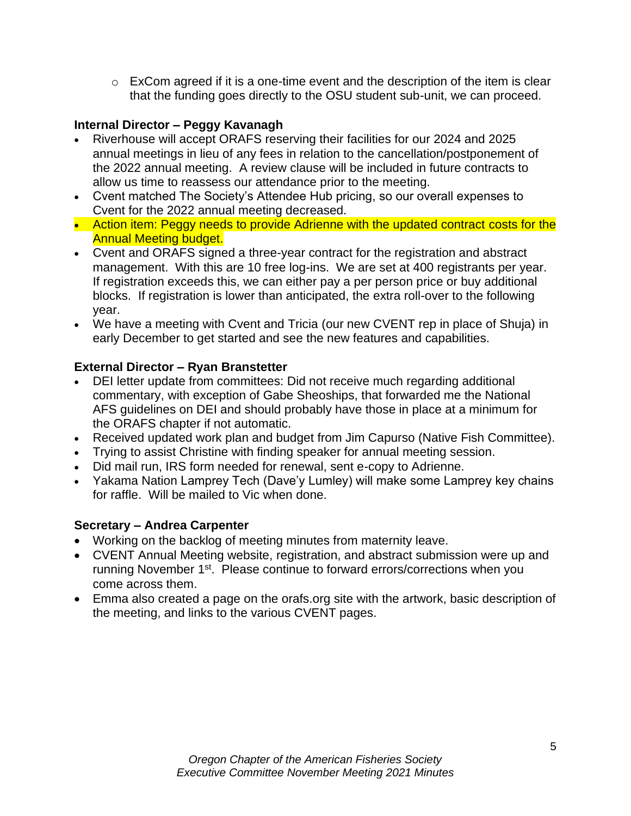$\circ$  ExCom agreed if it is a one-time event and the description of the item is clear that the funding goes directly to the OSU student sub-unit, we can proceed.

## **Internal Director – Peggy Kavanagh**

- Riverhouse will accept ORAFS reserving their facilities for our 2024 and 2025 annual meetings in lieu of any fees in relation to the cancellation/postponement of the 2022 annual meeting. A review clause will be included in future contracts to allow us time to reassess our attendance prior to the meeting.
- Cvent matched The Society's Attendee Hub pricing, so our overall expenses to Cvent for the 2022 annual meeting decreased.
- Action item: Peggy needs to provide Adrienne with the updated contract costs for the Annual Meeting budget.
- Cvent and ORAFS signed a three-year contract for the registration and abstract management. With this are 10 free log-ins. We are set at 400 registrants per year. If registration exceeds this, we can either pay a per person price or buy additional blocks. If registration is lower than anticipated, the extra roll-over to the following year.
- We have a meeting with Cvent and Tricia (our new CVENT rep in place of Shuja) in early December to get started and see the new features and capabilities.

### **External Director – Ryan Branstetter**

- DEI letter update from committees: Did not receive much regarding additional commentary, with exception of Gabe Sheoships, that forwarded me the National AFS guidelines on DEI and should probably have those in place at a minimum for the ORAFS chapter if not automatic.
- Received updated work plan and budget from Jim Capurso (Native Fish Committee).
- Trying to assist Christine with finding speaker for annual meeting session.
- Did mail run, IRS form needed for renewal, sent e-copy to Adrienne.
- Yakama Nation Lamprey Tech (Dave'y Lumley) will make some Lamprey key chains for raffle. Will be mailed to Vic when done.

#### **Secretary – Andrea Carpenter**

- Working on the backlog of meeting minutes from maternity leave.
- CVENT Annual Meeting website, registration, and abstract submission were up and running November 1<sup>st</sup>. Please continue to forward errors/corrections when you come across them.
- Emma also created a page on the orafs.org site with the artwork, basic description of the meeting, and links to the various CVENT pages.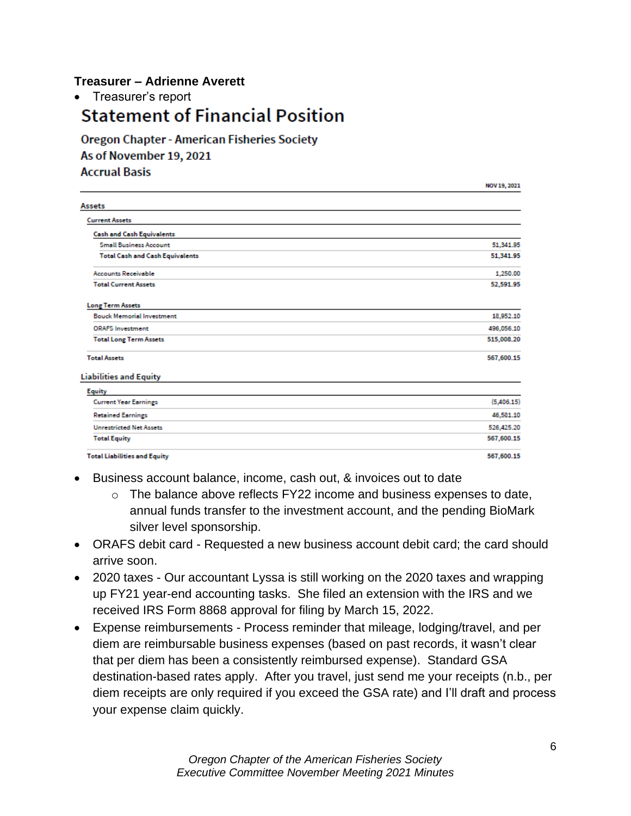### **Treasurer – Adrienne Averett**

• Treasurer's report

# **Statement of Financial Position**

**Oregon Chapter - American Fisheries Society** As of November 19, 2021 **Accrual Basis** 

| Assets                                 |            |
|----------------------------------------|------------|
| <b>Current Assets</b>                  |            |
| <b>Cash and Cash Equivalents</b>       |            |
| <b>Small Business Account</b>          | 51,341.95  |
| <b>Total Cash and Cash Equivalents</b> | 51,341.95  |
| <b>Accounts Receivable</b>             | 1,250.00   |
| <b>Total Current Assets</b>            | 52,591.95  |
| <b>Long Term Assets</b>                |            |
| <b>Bouck Memorial Investment</b>       | 18,952.10  |
| <b>ORAFS Investment</b>                | 496,056.10 |
| <b>Total Long Term Assets</b>          | 515,008.20 |
| <b>Total Assets</b>                    | 567,600.15 |
| <b>Liabilities and Equity</b>          |            |
| <b>Equity</b>                          |            |
| <b>Current Year Earnings</b>           | (5,406.15) |
| <b>Retained Earnings</b>               | 46,581.10  |
| <b>Unrestricted Net Assets</b>         | 526,425.20 |
| <b>Total Equity</b>                    | 567,600.15 |
| <b>Total Liabilities and Equity</b>    | 567,600.15 |

- Business account balance, income, cash out, & invoices out to date
	- o The balance above reflects FY22 income and business expenses to date, annual funds transfer to the investment account, and the pending BioMark silver level sponsorship.
- ORAFS debit card Requested a new business account debit card; the card should arrive soon.
- 2020 taxes Our accountant Lyssa is still working on the 2020 taxes and wrapping up FY21 year-end accounting tasks. She filed an extension with the IRS and we received IRS Form 8868 approval for filing by March 15, 2022.
- Expense reimbursements Process reminder that mileage, lodging/travel, and per diem are reimbursable business expenses (based on past records, it wasn't clear that per diem has been a consistently reimbursed expense). Standard GSA destination-based rates apply. After you travel, just send me your receipts (n.b., per diem receipts are only required if you exceed the GSA rate) and I'll draft and process your expense claim quickly.

NOV19 2021